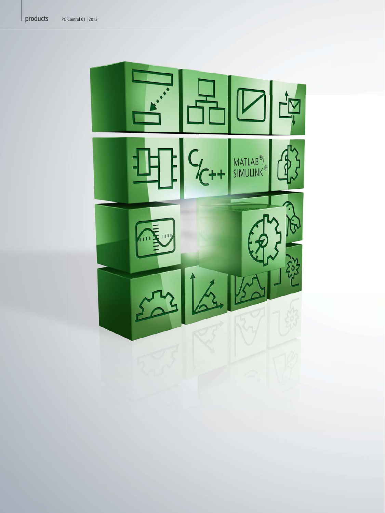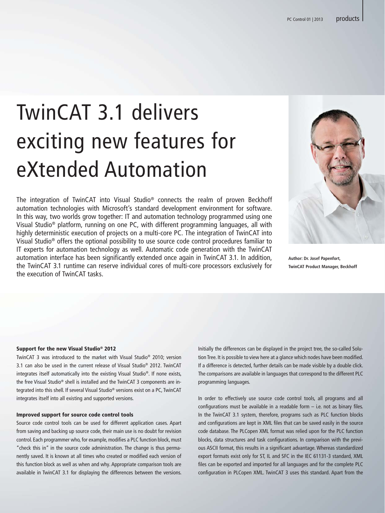# TwinCAT 3.1 delivers exciting new features for eXtended Automation

The integration of TwinCAT into Visual Studio® connects the realm of proven Beckhoff automation technologies with Microsoft's standard development environment for software. In this way, two worlds grow together: IT and automation technology programmed using one Visual Studio® platform, running on one PC, with different programming languages, all with highly deterministic execution of projects on a multi-core PC. The integration of TwinCAT into Visual Studio® offers the optional possibility to use source code control procedures familiar to IT experts for automation technology as well. Automatic code generation with the TwinCAT automation interface has been significantly extended once again in TwinCAT 3.1. In addition, the TwinCAT 3.1 runtime can reserve individual cores of multi-core processors exclusively for the execution of TwinCAT tasks.

**Author: Dr. Josef Papenfort, TwinCAT Product Manager, Beckhoff**

## Support for the new Visual Studio® 2012

TwinCAT 3 was introduced to the market with Visual Studio® 2010; version 3.1 can also be used in the current release of Visual Studio® 2012. TwinCAT integrates itself automatically into the existing Visual Studio®. If none exists, the free Visual Studio® shell is installed and the TwinCAT 3 components are integrated into this shell. If several Visual Studio® versions exist on a PC, TwinCAT integrates itself into all existing and supported versions.

#### Improved support for source code control tools

Source code control tools can be used for different application cases. Apart from saving and backing up source code, their main use is no doubt for revision control. Each programmer who, for example, modifies a PLC function block, must "check this in" in the source code administration. The change is thus permanently saved. It is known at all times who created or modified each version of this function block as well as when and why. Appropriate comparison tools are available in TwinCAT 3.1 for displaying the differences between the versions. Initially the differences can be displayed in the project tree, the so-called Solution Tree. It is possible to view here at a glance which nodes have been modified. If a difference is detected, further details can be made visible by a double click. The comparisons are available in languages that correspond to the different PLC programming languages.

In order to effectively use source code control tools, all programs and all configurations must be available in a readable form – i.e. not as binary files. In the TwinCAT 3.1 system, therefore, programs such as PLC function blocks and configurations are kept in XML files that can be saved easily in the source code database. The PLCopen XML format was relied upon for the PLC function blocks, data structures and task configurations. In comparison with the previous ASCII format, this results in a significant advantage. Whereas standardized export formats exist only for ST, IL and SFC in the IEC 61131-3 standard, XML files can be exported and imported for all languages and for the complete PLC configuration in PLCopen XML. TwinCAT 3 uses this standard. Apart from the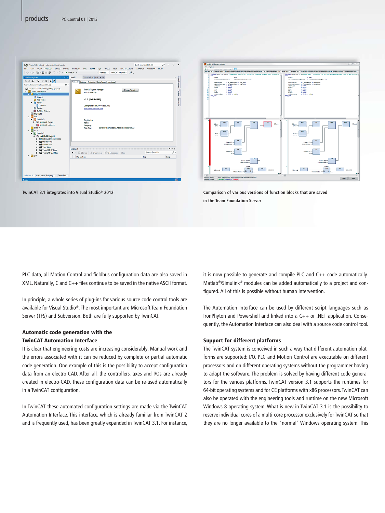



**Comparison of various versions of function blocks that are saved in the Team Foundation Server**

PLC data, all Motion Control and fieldbus configuration data are also saved in XML. Naturally, C and C++ files continue to be saved in the native ASCII format.

In principle, a whole series of plug-ins for various source code control tools are available for Visual Studio®. The most important are Microsoft Team Foundation Server (TFS) and Subversion. Both are fully supported by TwinCAT.

## Automatic code generation with the TwinCAT Automation Interface

It is clear that engineering costs are increasing considerably. Manual work and the errors associated with it can be reduced by complete or partial automatic code generation. One example of this is the possibility to accept configuration data from an electro-CAD. After all, the controllers, axes and I/Os are already created in electro-CAD. These configuration data can be re-used automatically in a TwinCAT configuration.

In TwinCAT these automated configuration settings are made via the TwinCAT Automation Interface. This interface, which is already familiar from TwinCAT 2 and is frequently used, has been greatly expanded in TwinCAT 3.1. For instance, it is now possible to generate and compile PLC and C++ code automatically. Matlab®/Simulink® modules can be added automatically to a project and configured. All of this is possible without human intervention.

The Automation Interface can be used by different script languages such as IronPhyton and Powershell and linked into a C++ or .NET application. Consequently, the Automation Interface can also deal with a source code control tool.

## Support for different platforms

The TwinCAT system is conceived in such a way that different automation platforms are supported: I/O, PLC and Motion Control are executable on different processors and on different operating systems without the programmer having to adapt the software. The problem is solved by having different code generators for the various platforms. TwinCAT version 3.1 supports the runtimes for 64-bit operating systems and for CE platforms with x86 processors. TwinCAT can also be operated with the engineering tools and runtime on the new Microsoft Windows 8 operating system. What is new in TwinCAT 3.1 is the possibility to reserve individual cores of a multi-core processor exclusively for TwinCAT so that they are no longer available to the "normal" Windows operating system. This